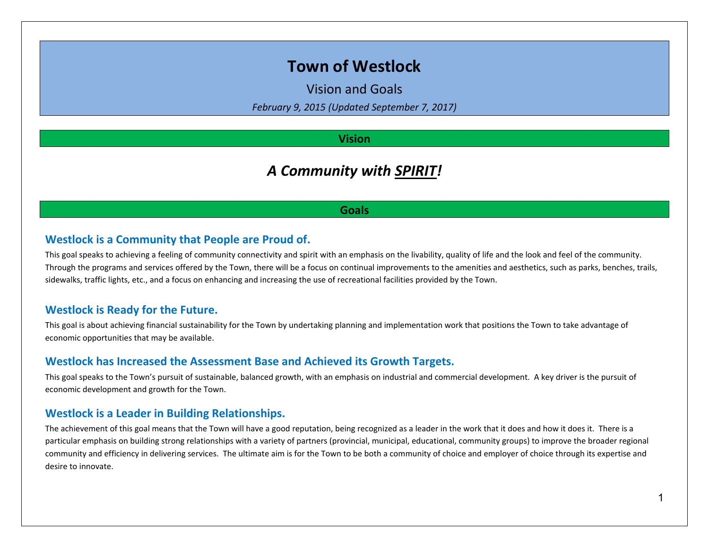# **Town of Westlock**

Vision and Goals

*February 9, 2015 (Updated September 7, 2017)*

# **Vision**

# *A Community with SPIRIT!*

### **Goals**

## **Westlock is a Community that People are Proud of.**

This goal speaks to achieving a feeling of community connectivity and spirit with an emphasis on the livability, quality of life and the look and feel of the community. Through the programs and services offered by the Town, there will be a focus on continual improvements to the amenities and aesthetics, such as parks, benches, trails, sidewalks, traffic lights, etc., and a focus on enhancing and increasing the use of recreational facilities provided by the Town.

# **Westlock is Ready for the Future.**

This goal is about achieving financial sustainability for the Town by undertaking planning and implementation work that positions the Town to take advantage of economic opportunities that may be available.

### **Westlock has Increased the Assessment Base and Achieved its Growth Targets.**

This goal speaks to the Town's pursuit of sustainable, balanced growth, with an emphasis on industrial and commercial development. A key driver is the pursuit of economic development and growth for the Town.

### **Westlock is a Leader in Building Relationships.**

The achievement of this goal means that the Town will have a good reputation, being recognized as a leader in the work that it does and how it does it. There is a particular emphasis on building strong relationships with a variety of partners (provincial, municipal, educational, community groups) to improve the broader regional community and efficiency in delivering services. The ultimate aim is for the Town to be both a community of choice and employer of choice through its expertise and desire to innovate.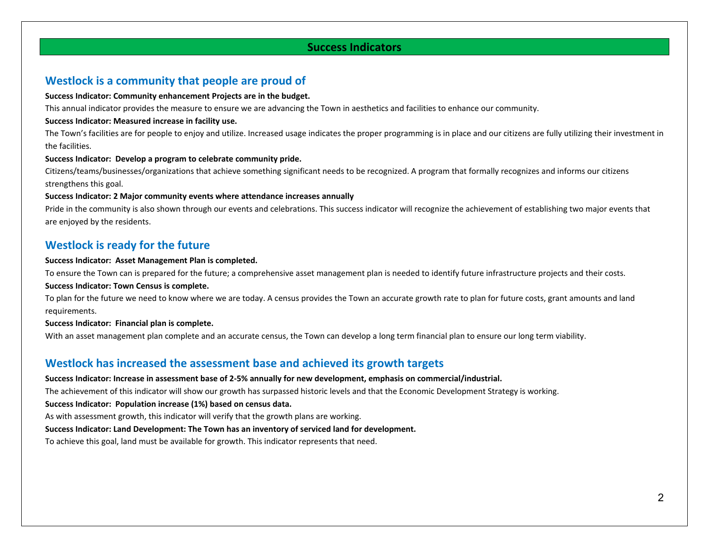## **Success Indicators**

# **Westlock is a community that people are proud of**

#### **Success Indicator: Community enhancement Projects are in the budget.**

This annual indicator provides the measure to ensure we are advancing the Town in aesthetics and facilities to enhance our community.

#### **Success Indicator: Measured increase in facility use.**

The Town's facilities are for people to enjoy and utilize. Increased usage indicates the proper programming is in place and our citizens are fully utilizing their investment in the facilities.

#### **Success Indicator: Develop a program to celebrate community pride.**

Citizens/teams/businesses/organizations that achieve something significant needs to be recognized. A program that formally recognizes and informs our citizens strengthens this goal.

#### **Success Indicator: 2 Major community events where attendance increases annually**

Pride in the community is also shown through our events and celebrations. This success indicator will recognize the achievement of establishing two major events that are enjoyed by the residents.

# **Westlock is ready for the future**

#### **Success Indicator: Asset Management Plan is completed.**

To ensure the Town can is prepared for the future; a comprehensive asset management plan is needed to identify future infrastructure projects and their costs.

#### **Success Indicator: Town Census is complete.**

To plan for the future we need to know where we are today. A census provides the Town an accurate growth rate to plan for future costs, grant amounts and land requirements.

#### **Success Indicator: Financial plan is complete.**

With an asset management plan complete and an accurate census, the Town can develop a long term financial plan to ensure our long term viability.

## **Westlock has increased the assessment base and achieved its growth targets**

#### **Success Indicator: Increase in assessment base of 2-5% annually for new development, emphasis on commercial/industrial.**

The achievement of this indicator will show our growth has surpassed historic levels and that the Economic Development Strategy is working.

#### **Success Indicator: Population increase (1%) based on census data.**

As with assessment growth, this indicator will verify that the growth plans are working.

#### **Success Indicator: Land Development: The Town has an inventory of serviced land for development.**

To achieve this goal, land must be available for growth. This indicator represents that need.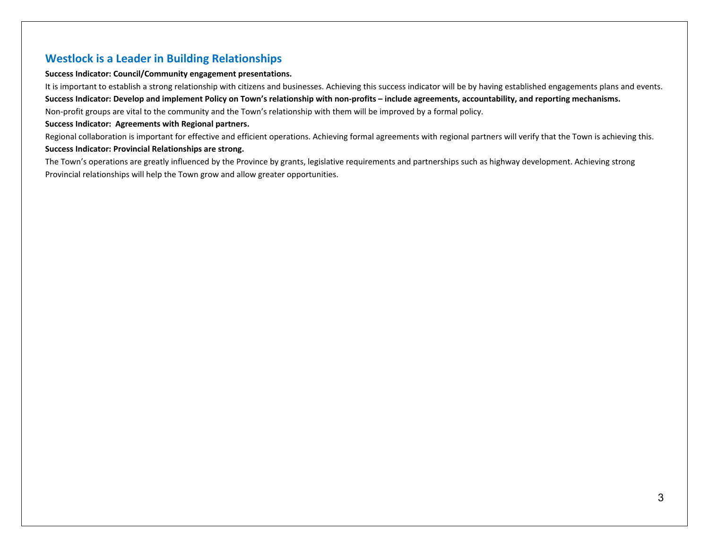# **Westlock is a Leader in Building Relationships**

#### **Success Indicator: Council/Community engagement presentations.**

It is important to establish a strong relationship with citizens and businesses. Achieving this success indicator will be by having established engagements plans and events. **Success Indicator: Develop and implement Policy on Town's relationship with non-profits – include agreements, accountability, and reporting mechanisms.** Non-profit groups are vital to the community and the Town's relationship with them will be improved by a formal policy.

#### **Success Indicator: Agreements with Regional partners.**

Regional collaboration is important for effective and efficient operations. Achieving formal agreements with regional partners will verify that the Town is achieving this.

#### **Success Indicator: Provincial Relationships are strong.**

The Town's operations are greatly influenced by the Province by grants, legislative requirements and partnerships such as highway development. Achieving strong Provincial relationships will help the Town grow and allow greater opportunities.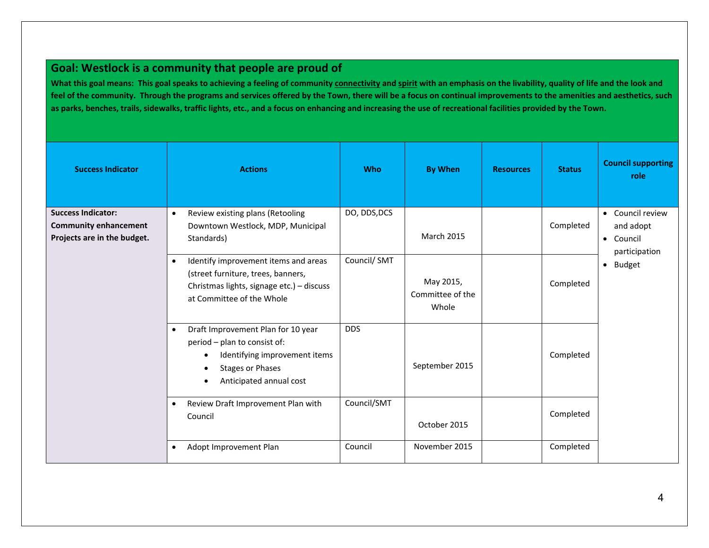# **Goal: Westlock is a community that people are proud of**

**What this goal means: This goal speaks to achieving a feeling of community connectivity and spirit with an emphasis on the livability, quality of life and the look and feel of the community. Through the programs and services offered by the Town, there will be a focus on continual improvements to the amenities and aesthetics, such as parks, benches, trails, sidewalks, traffic lights, etc., and a focus on enhancing and increasing the use of recreational facilities provided by the Town.** 

| <b>Success Indicator</b>                                                                 | <b>Actions</b>                                                                                                                                            | <b>Who</b>   | <b>By When</b>                         | <b>Resources</b> | <b>Status</b> | <b>Council supporting</b><br>role                           |
|------------------------------------------------------------------------------------------|-----------------------------------------------------------------------------------------------------------------------------------------------------------|--------------|----------------------------------------|------------------|---------------|-------------------------------------------------------------|
| <b>Success Indicator:</b><br><b>Community enhancement</b><br>Projects are in the budget. | Review existing plans (Retooling<br>$\bullet$<br>Downtown Westlock, MDP, Municipal<br>Standards)                                                          | DO, DDS, DCS | <b>March 2015</b>                      |                  | Completed     | • Council review<br>and adopt<br>• Council<br>participation |
|                                                                                          | Identify improvement items and areas<br>(street furniture, trees, banners,<br>Christmas lights, signage etc.) - discuss<br>at Committee of the Whole      | Council/SMT  | May 2015,<br>Committee of the<br>Whole |                  | Completed     | $\bullet$ Budget                                            |
|                                                                                          | Draft Improvement Plan for 10 year<br>period - plan to consist of:<br>Identifying improvement items<br><b>Stages or Phases</b><br>Anticipated annual cost | <b>DDS</b>   | September 2015                         |                  | Completed     |                                                             |
|                                                                                          | Review Draft Improvement Plan with<br>$\bullet$<br>Council                                                                                                | Council/SMT  | October 2015                           |                  | Completed     |                                                             |
|                                                                                          | Adopt Improvement Plan<br>$\bullet$                                                                                                                       | Council      | November 2015                          |                  | Completed     |                                                             |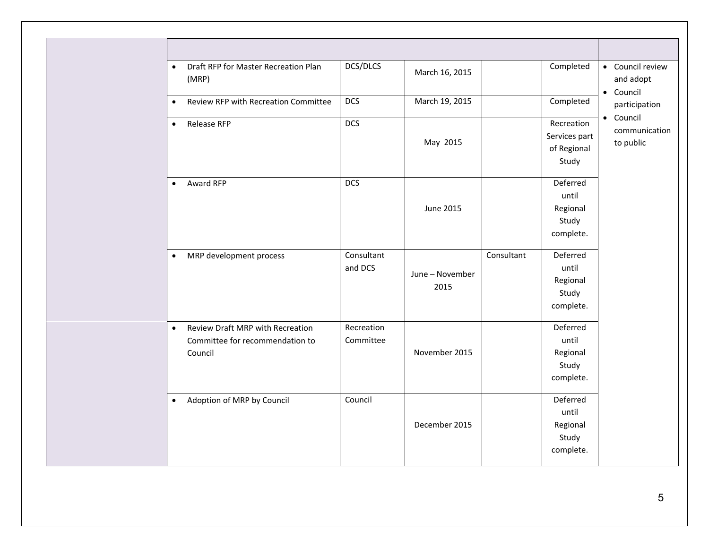| $\bullet$ | Draft RFP for Master Recreation Plan<br>(MRP)                                         | DCS/DLCS                | March 16, 2015          |            | Completed                                           | • Council review<br>and adopt<br>• Council |
|-----------|---------------------------------------------------------------------------------------|-------------------------|-------------------------|------------|-----------------------------------------------------|--------------------------------------------|
| $\bullet$ | Review RFP with Recreation Committee                                                  | <b>DCS</b>              | March 19, 2015          |            | Completed                                           | participation                              |
| $\bullet$ | <b>Release RFP</b>                                                                    | <b>DCS</b>              | May 2015                |            | Recreation<br>Services part<br>of Regional<br>Study | • Council<br>communication<br>to public    |
| $\bullet$ | Award RFP                                                                             | <b>DCS</b>              | <b>June 2015</b>        |            | Deferred<br>until<br>Regional<br>Study<br>complete. |                                            |
| $\bullet$ | MRP development process                                                               | Consultant<br>and DCS   | June - November<br>2015 | Consultant | Deferred<br>until<br>Regional<br>Study<br>complete. |                                            |
| $\bullet$ | <b>Review Draft MRP with Recreation</b><br>Committee for recommendation to<br>Council | Recreation<br>Committee | November 2015           |            | Deferred<br>until<br>Regional<br>Study<br>complete. |                                            |
| $\bullet$ | Adoption of MRP by Council                                                            | Council                 | December 2015           |            | Deferred<br>until<br>Regional<br>Study<br>complete. |                                            |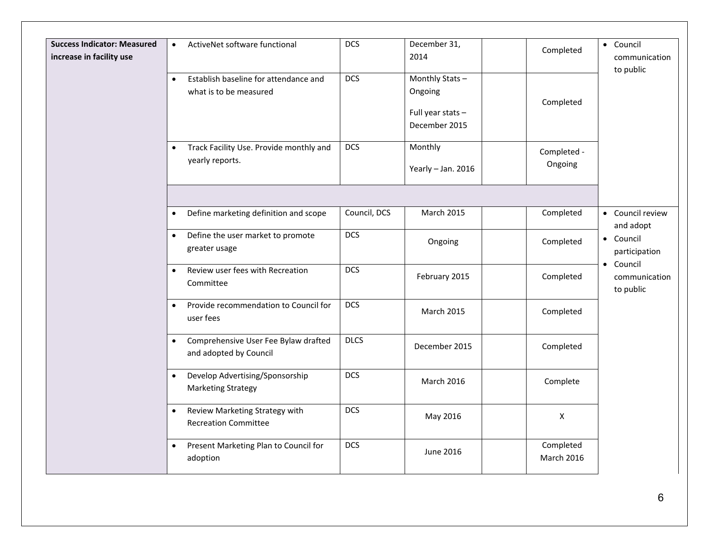| <b>Success Indicator: Measured</b> | ActiveNet software functional<br>$\bullet$                                   | <b>DCS</b>   | December 31,                                   |                                | • Council                               |
|------------------------------------|------------------------------------------------------------------------------|--------------|------------------------------------------------|--------------------------------|-----------------------------------------|
| increase in facility use           |                                                                              |              | 2014                                           | Completed                      | communication<br>to public              |
|                                    | Establish baseline for attendance and<br>$\bullet$<br>what is to be measured | <b>DCS</b>   | Monthly Stats-<br>Ongoing<br>Full year stats - | Completed                      |                                         |
|                                    | Track Facility Use. Provide monthly and<br>$\bullet$                         | <b>DCS</b>   | December 2015<br>Monthly                       | Completed -                    |                                         |
|                                    | yearly reports.                                                              |              | Yearly - Jan. 2016                             | Ongoing                        |                                         |
|                                    |                                                                              |              |                                                |                                |                                         |
|                                    | Define marketing definition and scope<br>$\bullet$                           | Council, DCS | <b>March 2015</b>                              | Completed                      | • Council review<br>and adopt           |
|                                    | Define the user market to promote<br>$\bullet$<br>greater usage              | <b>DCS</b>   | Ongoing                                        | Completed                      | • Council<br>participation<br>• Council |
|                                    | Review user fees with Recreation<br>$\bullet$<br>Committee                   | <b>DCS</b>   | February 2015                                  | Completed                      | communication<br>to public              |
|                                    | Provide recommendation to Council for<br>$\bullet$<br>user fees              | <b>DCS</b>   | March 2015                                     | Completed                      |                                         |
|                                    | Comprehensive User Fee Bylaw drafted<br>$\bullet$<br>and adopted by Council  | <b>DLCS</b>  | December 2015                                  | Completed                      |                                         |
|                                    | Develop Advertising/Sponsorship<br>$\bullet$<br><b>Marketing Strategy</b>    | <b>DCS</b>   | <b>March 2016</b>                              | Complete                       |                                         |
|                                    | Review Marketing Strategy with<br><b>Recreation Committee</b>                | <b>DCS</b>   | May 2016                                       | X                              |                                         |
|                                    | Present Marketing Plan to Council for<br>$\bullet$<br>adoption               | <b>DCS</b>   | June 2016                                      | Completed<br><b>March 2016</b> |                                         |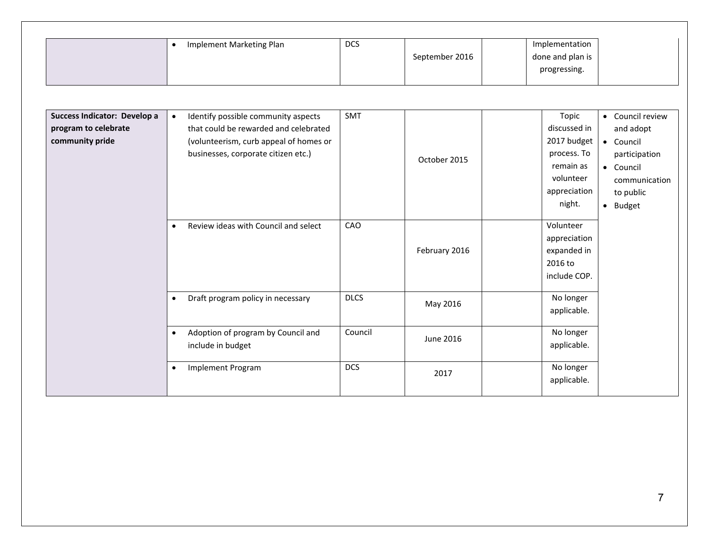|                                                                         | Implement Marketing Plan<br>$\bullet$                                                                                                                         | <b>DCS</b>  | September 2016 | Implementation<br>done and plan is<br>progressing.                                                      |                                                                                                                    |
|-------------------------------------------------------------------------|---------------------------------------------------------------------------------------------------------------------------------------------------------------|-------------|----------------|---------------------------------------------------------------------------------------------------------|--------------------------------------------------------------------------------------------------------------------|
| Success Indicator: Develop a<br>program to celebrate<br>community pride | Identify possible community aspects<br>that could be rewarded and celebrated<br>(volunteerism, curb appeal of homes or<br>businesses, corporate citizen etc.) | SMT         | October 2015   | Topic<br>discussed in<br>2017 budget<br>process. To<br>remain as<br>volunteer<br>appreciation<br>night. | • Council review<br>and adopt<br>• Council<br>participation<br>• Council<br>communication<br>to public<br>• Budget |
|                                                                         | Review ideas with Council and select<br>$\bullet$                                                                                                             | CAO         | February 2016  | Volunteer<br>appreciation<br>expanded in<br>2016 to<br>include COP.                                     |                                                                                                                    |
|                                                                         | Draft program policy in necessary<br>$\bullet$                                                                                                                | <b>DLCS</b> | May 2016       | No longer<br>applicable.                                                                                |                                                                                                                    |
|                                                                         | Adoption of program by Council and<br>$\bullet$<br>include in budget                                                                                          | Council     | June 2016      | No longer<br>applicable.                                                                                |                                                                                                                    |
|                                                                         | <b>Implement Program</b><br>$\bullet$                                                                                                                         | <b>DCS</b>  | 2017           | No longer<br>applicable.                                                                                |                                                                                                                    |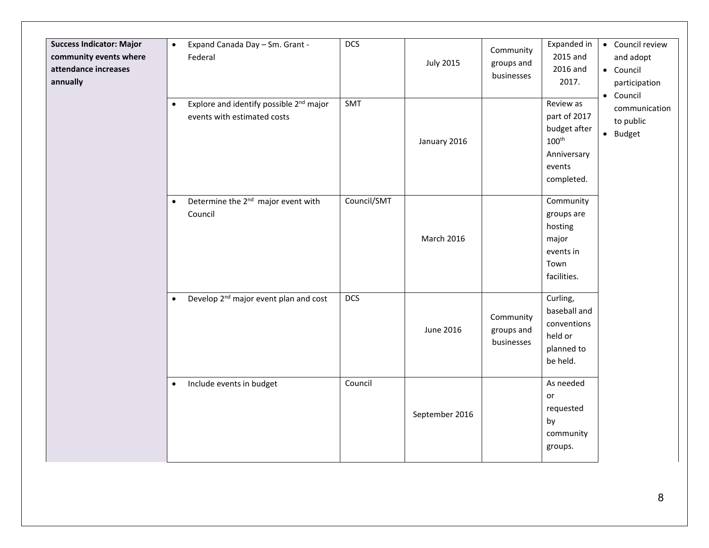| <b>Success Indicator: Major</b><br>community events where<br>attendance increases<br>annually | Expand Canada Day - Sm. Grant -<br>$\bullet$<br>Federal<br>Explore and identify possible 2 <sup>nd</sup> major<br>$\bullet$<br>events with estimated costs | <b>DCS</b><br>SMT | <b>July 2015</b><br>January 2016 | Community<br>groups and<br>businesses | Expanded in<br>2015 and<br>2016 and<br>2017.<br>Review as<br>part of 2017<br>budget after<br>$100^{\text{th}}$<br>Anniversary<br>events<br>completed. | • Council review<br>and adopt<br>• Council<br>participation<br>• Council<br>communication<br>to public<br>· Budget |
|-----------------------------------------------------------------------------------------------|------------------------------------------------------------------------------------------------------------------------------------------------------------|-------------------|----------------------------------|---------------------------------------|-------------------------------------------------------------------------------------------------------------------------------------------------------|--------------------------------------------------------------------------------------------------------------------|
|                                                                                               | Determine the 2 <sup>nd</sup> major event with<br>$\bullet$<br>Council                                                                                     | Council/SMT       | <b>March 2016</b>                |                                       | Community<br>groups are<br>hosting<br>major<br>events in<br>Town<br>facilities.                                                                       |                                                                                                                    |
|                                                                                               | Develop 2 <sup>nd</sup> major event plan and cost<br>$\bullet$                                                                                             | <b>DCS</b>        | June 2016                        | Community<br>groups and<br>businesses | Curling,<br>baseball and<br>conventions<br>held or<br>planned to<br>be held.                                                                          |                                                                                                                    |
|                                                                                               | Include events in budget<br>$\bullet$                                                                                                                      | Council           | September 2016                   |                                       | As needed<br>or<br>requested<br>by<br>community<br>groups.                                                                                            |                                                                                                                    |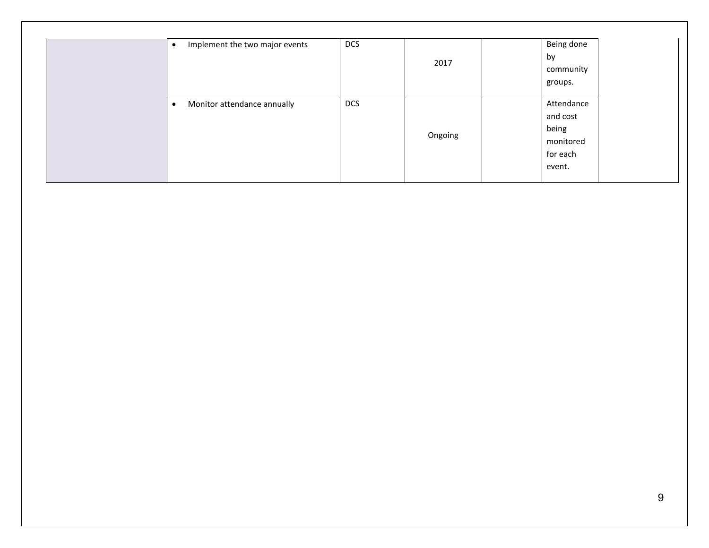| <b>DCS</b><br>Implement the two major events | 2017    | Being done<br>by<br>community<br>groups.                           |
|----------------------------------------------|---------|--------------------------------------------------------------------|
| <b>DCS</b><br>Monitor attendance annually    | Ongoing | Attendance<br>and cost<br>being<br>monitored<br>for each<br>event. |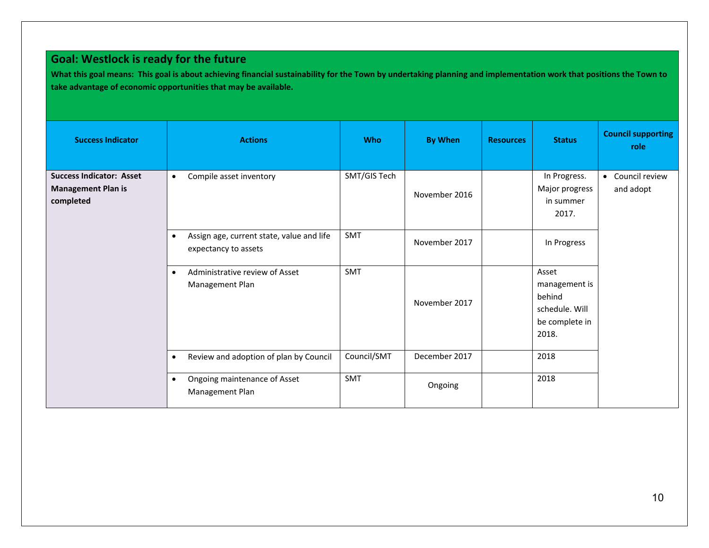# **Goal: Westlock is ready for the future**

**What this goal means: This goal is about achieving financial sustainability for the Town by undertaking planning and implementation work that positions the Town to take advantage of economic opportunities that may be available.**

| <b>Success Indicator</b>                                                  | <b>Actions</b>                                                                 | <b>Who</b>   | <b>By When</b> | <b>Resources</b> | <b>Status</b>                                                                 | <b>Council supporting</b><br>role |
|---------------------------------------------------------------------------|--------------------------------------------------------------------------------|--------------|----------------|------------------|-------------------------------------------------------------------------------|-----------------------------------|
| <b>Success Indicator: Asset</b><br><b>Management Plan is</b><br>completed | Compile asset inventory<br>$\bullet$                                           | SMT/GIS Tech | November 2016  |                  | In Progress.<br>Major progress<br>in summer<br>2017.                          | • Council review<br>and adopt     |
|                                                                           | Assign age, current state, value and life<br>$\bullet$<br>expectancy to assets | SMT          | November 2017  |                  | In Progress                                                                   |                                   |
|                                                                           | Administrative review of Asset<br>$\bullet$<br>Management Plan                 | SMT          | November 2017  |                  | Asset<br>management is<br>behind<br>schedule. Will<br>be complete in<br>2018. |                                   |
|                                                                           | Review and adoption of plan by Council<br>$\bullet$                            | Council/SMT  | December 2017  |                  | 2018                                                                          |                                   |
|                                                                           | Ongoing maintenance of Asset<br>Management Plan                                | SMT          | Ongoing        |                  | 2018                                                                          |                                   |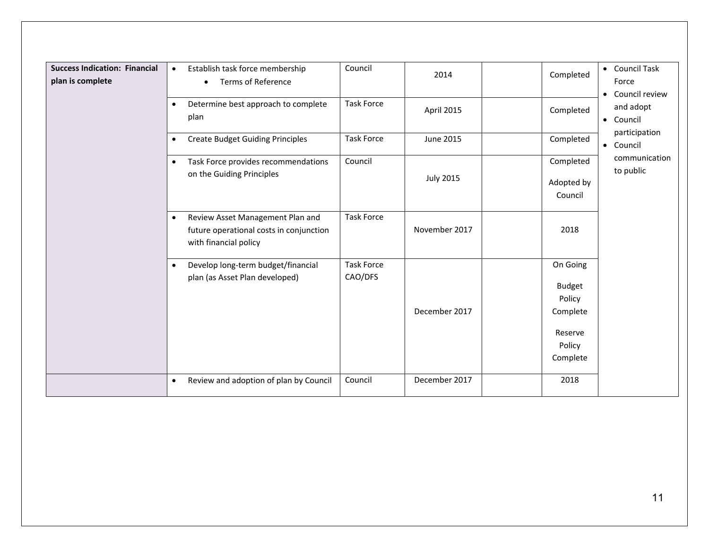| <b>Success Indication: Financial</b><br>plan is complete | Establish task force membership<br>$\bullet$<br><b>Terms of Reference</b><br>$\bullet$                            | Council                      | 2014             | Completed                                                                        | • Council Task<br>Force<br>Council review<br>$\bullet$ |
|----------------------------------------------------------|-------------------------------------------------------------------------------------------------------------------|------------------------------|------------------|----------------------------------------------------------------------------------|--------------------------------------------------------|
|                                                          | Determine best approach to complete<br>plan                                                                       | <b>Task Force</b>            | April 2015       | Completed                                                                        | and adopt<br>• Council                                 |
|                                                          | <b>Create Budget Guiding Principles</b><br>$\bullet$                                                              | <b>Task Force</b>            | June 2015        | Completed                                                                        | participation<br>• Council                             |
|                                                          | Task Force provides recommendations<br>$\bullet$<br>on the Guiding Principles                                     | Council                      | <b>July 2015</b> | Completed<br>Adopted by<br>Council                                               | communication<br>to public                             |
|                                                          | Review Asset Management Plan and<br>$\bullet$<br>future operational costs in conjunction<br>with financial policy | <b>Task Force</b>            | November 2017    | 2018                                                                             |                                                        |
|                                                          | Develop long-term budget/financial<br>$\bullet$<br>plan (as Asset Plan developed)                                 | <b>Task Force</b><br>CAO/DFS | December 2017    | On Going<br><b>Budget</b><br>Policy<br>Complete<br>Reserve<br>Policy<br>Complete |                                                        |
|                                                          | Review and adoption of plan by Council<br>$\bullet$                                                               | Council                      | December 2017    | 2018                                                                             |                                                        |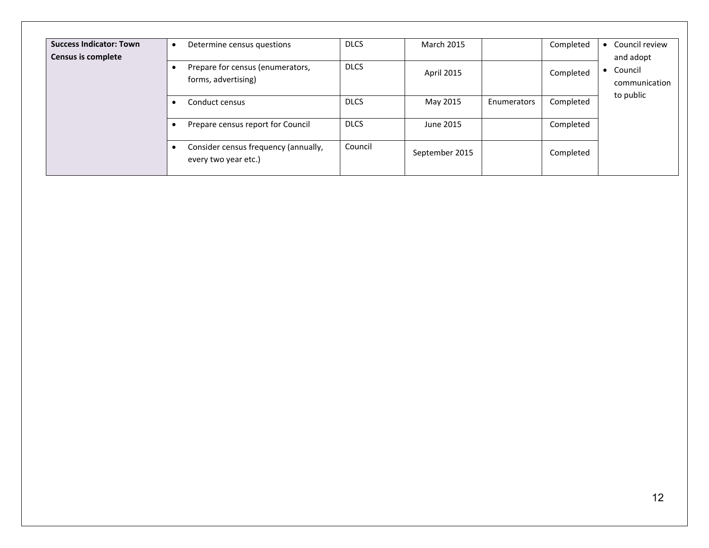| <b>Success Indicator: Town</b><br><b>Census is complete</b> | Determine census questions<br>о                              | <b>DLCS</b> | <b>March 2015</b> |             | Completed | Council review<br>$\bullet$<br>and adopt |
|-------------------------------------------------------------|--------------------------------------------------------------|-------------|-------------------|-------------|-----------|------------------------------------------|
|                                                             | Prepare for census (enumerators,<br>forms, advertising)      | <b>DLCS</b> | April 2015        |             | Completed | Council<br>$\bullet$<br>communication    |
|                                                             | Conduct census                                               | <b>DLCS</b> | May 2015          | Enumerators | Completed | to public                                |
|                                                             | Prepare census report for Council                            | <b>DLCS</b> | June 2015         |             | Completed |                                          |
|                                                             | Consider census frequency (annually,<br>every two year etc.) | Council     | September 2015    |             | Completed |                                          |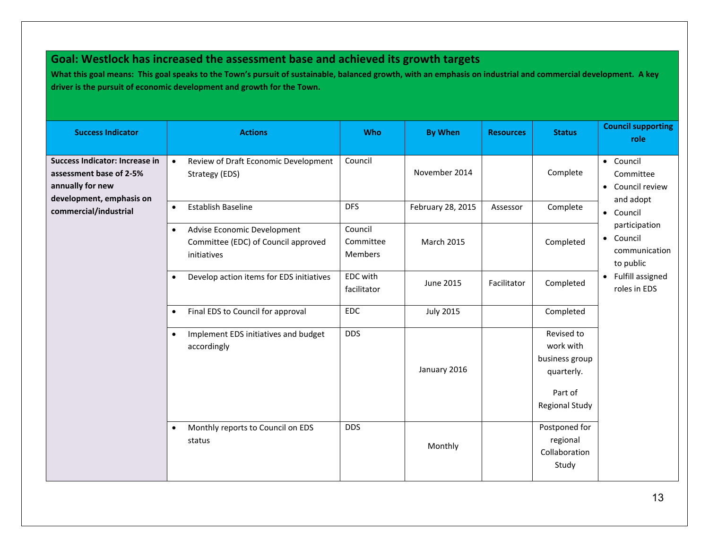# **Goal: Westlock has increased the assessment base and achieved its growth targets**

**What this goal means: This goal speaks to the Town's pursuit of sustainable, balanced growth, with an emphasis on industrial and commercial development. A key driver is the pursuit of economic development and growth for the Town.**

| <b>Success Indicator</b>                                                                                  | <b>Actions</b>                                                                                 | <b>Who</b>                      | <b>By When</b>    | <b>Resources</b> | <b>Status</b>                                                                               | <b>Council supporting</b><br>role                        |
|-----------------------------------------------------------------------------------------------------------|------------------------------------------------------------------------------------------------|---------------------------------|-------------------|------------------|---------------------------------------------------------------------------------------------|----------------------------------------------------------|
| Success Indicator: Increase in<br>assessment base of 2-5%<br>annually for new<br>development, emphasis on | $\bullet$<br>Review of Draft Economic Development<br>Strategy (EDS)                            | Council                         | November 2014     |                  | Complete                                                                                    | • Council<br>Committee<br>• Council review<br>and adopt  |
| commercial/industrial                                                                                     | Establish Baseline<br>$\bullet$                                                                | <b>DFS</b>                      | February 28, 2015 | Assessor         | Complete                                                                                    | • Council                                                |
|                                                                                                           | Advise Economic Development<br>$\bullet$<br>Committee (EDC) of Council approved<br>initiatives | Council<br>Committee<br>Members | <b>March 2015</b> |                  | Completed                                                                                   | participation<br>• Council<br>communication<br>to public |
|                                                                                                           | Develop action items for EDS initiatives<br>$\bullet$                                          | EDC with<br>facilitator         | June 2015         | Facilitator      | Completed                                                                                   | • Fulfill assigned<br>roles in EDS                       |
|                                                                                                           | Final EDS to Council for approval<br>$\bullet$                                                 | <b>EDC</b>                      | <b>July 2015</b>  |                  | Completed                                                                                   |                                                          |
|                                                                                                           | Implement EDS initiatives and budget<br>$\bullet$<br>accordingly                               | <b>DDS</b>                      | January 2016      |                  | Revised to<br>work with<br>business group<br>quarterly.<br>Part of<br><b>Regional Study</b> |                                                          |
|                                                                                                           | Monthly reports to Council on EDS<br>$\bullet$<br>status                                       | <b>DDS</b>                      | Monthly           |                  | Postponed for<br>regional<br>Collaboration<br>Study                                         |                                                          |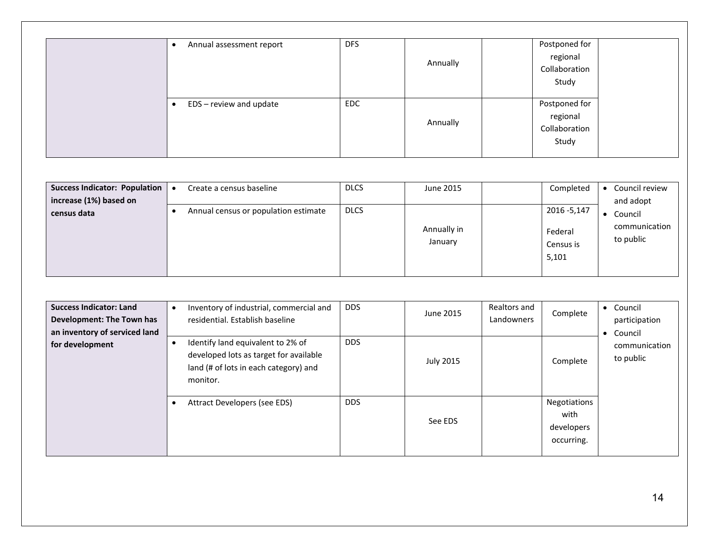| Annual assessment report | <b>DFS</b> | Annually | Postponed for<br>regional<br>Collaboration<br>Study |
|--------------------------|------------|----------|-----------------------------------------------------|
| EDS - review and update  | <b>EDC</b> | Annually | Postponed for<br>regional<br>Collaboration<br>Study |

| <b>Success Indicator: Population</b><br>increase (1%) based on | Create a census baseline             | <b>DLCS</b> | June 2015              | Completed                                     | Council review<br>and adopt           |
|----------------------------------------------------------------|--------------------------------------|-------------|------------------------|-----------------------------------------------|---------------------------------------|
| census data                                                    | Annual census or population estimate | <b>DLCS</b> | Annually in<br>January | 2016 - 5,147<br>Federal<br>Census is<br>5,101 | Council<br>communication<br>to public |

| <b>Success Indicator: Land</b><br>Development: The Town has<br>an inventory of serviced land<br>for development | Inventory of industrial, commercial and<br>residential. Establish baseline<br>Identify land equivalent to 2% of<br>developed lots as target for available<br>land (# of lots in each category) and<br>monitor. | <b>DDS</b><br><b>DDS</b> | June 2015<br><b>July 2015</b> | Realtors and<br>Landowners | Complete<br>Complete                             | Council<br>$\bullet$<br>participation<br>Council<br>$\bullet$<br>communication<br>to public |
|-----------------------------------------------------------------------------------------------------------------|----------------------------------------------------------------------------------------------------------------------------------------------------------------------------------------------------------------|--------------------------|-------------------------------|----------------------------|--------------------------------------------------|---------------------------------------------------------------------------------------------|
|                                                                                                                 | Attract Developers (see EDS)                                                                                                                                                                                   | <b>DDS</b>               | See EDS                       |                            | Negotiations<br>with<br>developers<br>occurring. |                                                                                             |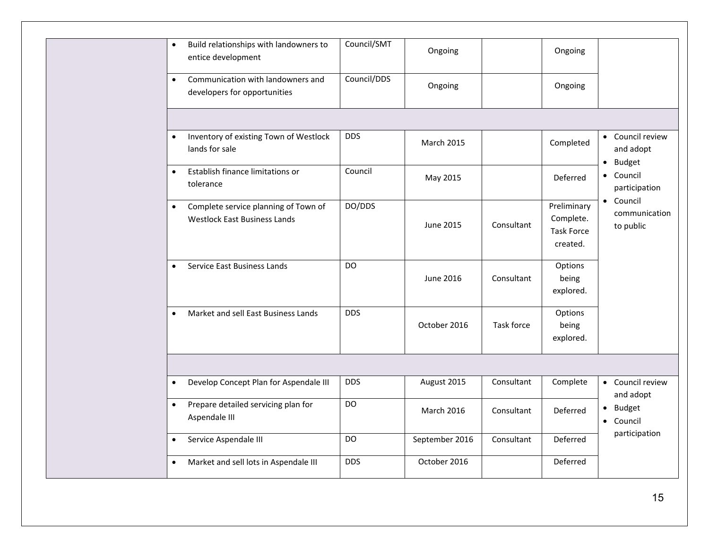|           | Build relationships with landowners to<br>$\bullet$<br>entice development                | Council/SMT | Ongoing           |            | Ongoing                                                   |                                         |
|-----------|------------------------------------------------------------------------------------------|-------------|-------------------|------------|-----------------------------------------------------------|-----------------------------------------|
|           | Communication with landowners and<br>$\bullet$<br>developers for opportunities           | Council/DDS | Ongoing           |            | Ongoing                                                   |                                         |
|           |                                                                                          |             |                   |            |                                                           |                                         |
|           | Inventory of existing Town of Westlock<br>$\bullet$<br>lands for sale                    | <b>DDS</b>  | <b>March 2015</b> |            | Completed                                                 | • Council review<br>and adopt           |
| $\bullet$ | Establish finance limitations or<br>tolerance                                            | Council     | May 2015          |            | Deferred                                                  | · Budget<br>• Council<br>participation  |
|           | Complete service planning of Town of<br>$\bullet$<br><b>Westlock East Business Lands</b> | DO/DDS      | June 2015         | Consultant | Preliminary<br>Complete.<br><b>Task Force</b><br>created. | • Council<br>communication<br>to public |
|           | Service East Business Lands<br>$\bullet$                                                 | DO.         | June 2016         | Consultant | Options<br>being<br>explored.                             |                                         |
|           | Market and sell East Business Lands<br>$\bullet$                                         | <b>DDS</b>  | October 2016      | Task force | Options<br>being<br>explored.                             |                                         |
|           |                                                                                          |             |                   |            |                                                           |                                         |
|           | Develop Concept Plan for Aspendale III<br>$\bullet$                                      | <b>DDS</b>  | August 2015       | Consultant | Complete                                                  | • Council review<br>and adopt           |
|           | Prepare detailed servicing plan for<br>$\bullet$<br>Aspendale III                        | DO          | <b>March 2016</b> | Consultant | Deferred                                                  | · Budget<br>• Council                   |
|           | Service Aspendale III<br>$\bullet$                                                       | DO          | September 2016    | Consultant | Deferred                                                  | participation                           |
|           | Market and sell lots in Aspendale III<br>$\bullet$                                       | <b>DDS</b>  | October 2016      |            | Deferred                                                  |                                         |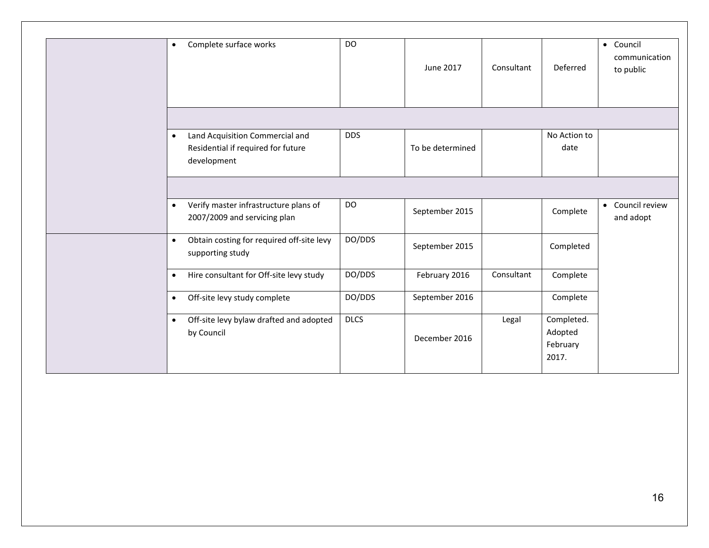| Complete surface works<br>$\bullet$                                                               | DO          | June 2017        | Consultant | Deferred                                   | • Council<br>communication<br>to public |
|---------------------------------------------------------------------------------------------------|-------------|------------------|------------|--------------------------------------------|-----------------------------------------|
| Land Acquisition Commercial and<br>$\bullet$<br>Residential if required for future<br>development | <b>DDS</b>  | To be determined |            | No Action to<br>date                       |                                         |
| Verify master infrastructure plans of<br>$\bullet$<br>2007/2009 and servicing plan                | <b>DO</b>   | September 2015   |            | Complete                                   | • Council review<br>and adopt           |
| Obtain costing for required off-site levy<br>$\bullet$<br>supporting study                        | DO/DDS      | September 2015   |            | Completed                                  |                                         |
| Hire consultant for Off-site levy study<br>$\bullet$                                              | DO/DDS      | February 2016    | Consultant | Complete                                   |                                         |
| Off-site levy study complete<br>$\bullet$                                                         | DO/DDS      | September 2016   |            | Complete                                   |                                         |
| Off-site levy bylaw drafted and adopted<br>$\bullet$<br>by Council                                | <b>DLCS</b> | December 2016    | Legal      | Completed.<br>Adopted<br>February<br>2017. |                                         |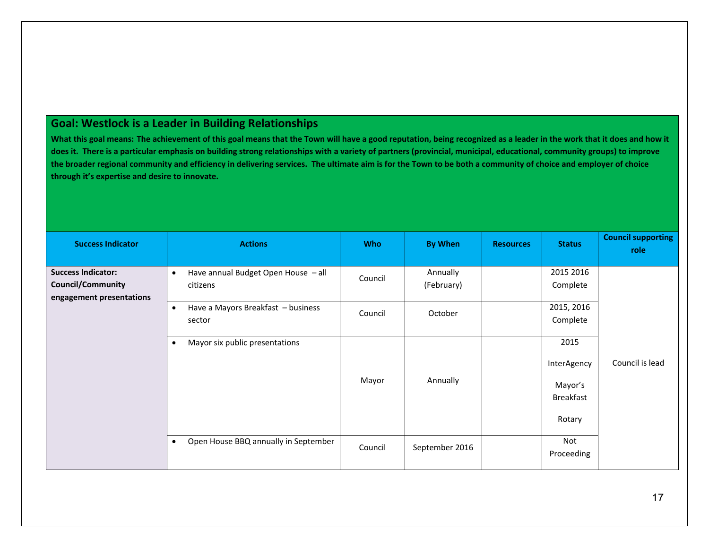# **Goal: Westlock is a Leader in Building Relationships**

**What this goal means: The achievement of this goal means that the Town will have a good reputation, being recognized as a leader in the work that it does and how it does it. There is a particular emphasis on building strong relationships with a variety of partners (provincial, municipal, educational, community groups) to improve the broader regional community and efficiency in delivering services. The ultimate aim is for the Town to be both a community of choice and employer of choice through it's expertise and desire to innovate.**

| <b>Success Indicator</b>                                                          | <b>Actions</b>                                               | <b>Who</b> | <b>By When</b>         | <b>Resources</b> | <b>Status</b>                                                | <b>Council supporting</b><br>role |
|-----------------------------------------------------------------------------------|--------------------------------------------------------------|------------|------------------------|------------------|--------------------------------------------------------------|-----------------------------------|
| <b>Success Indicator:</b><br><b>Council/Community</b><br>engagement presentations | Have annual Budget Open House - all<br>$\bullet$<br>citizens | Council    | Annually<br>(February) |                  | 2015 2016<br>Complete                                        |                                   |
|                                                                                   | Have a Mayors Breakfast - business<br>$\bullet$<br>sector    | Council    | October                |                  | 2015, 2016<br>Complete                                       |                                   |
|                                                                                   | Mayor six public presentations<br>$\bullet$                  | Mayor      | Annually               |                  | 2015<br>InterAgency<br>Mayor's<br><b>Breakfast</b><br>Rotary | Council is lead                   |
|                                                                                   | Open House BBQ annually in September<br>$\bullet$            | Council    | September 2016         |                  | Not<br>Proceeding                                            |                                   |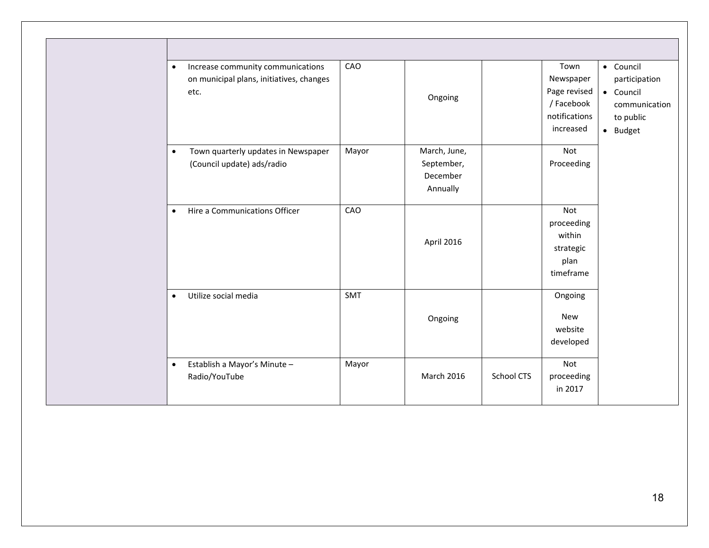| $\bullet$ | Increase community communications<br>on municipal plans, initiatives, changes<br>etc. | CAO   | Ongoing                                            |                   | Town<br>Newspaper<br>Page revised<br>/ Facebook<br>notifications<br>increased | • Council<br>participation<br>• Council<br>communication<br>to public<br>· Budget |
|-----------|---------------------------------------------------------------------------------------|-------|----------------------------------------------------|-------------------|-------------------------------------------------------------------------------|-----------------------------------------------------------------------------------|
|           | Town quarterly updates in Newspaper<br>$\bullet$<br>(Council update) ads/radio        | Mayor | March, June,<br>September,<br>December<br>Annually |                   | Not<br>Proceeding                                                             |                                                                                   |
|           | Hire a Communications Officer<br>$\bullet$                                            | CAO   | April 2016                                         |                   | Not<br>proceeding<br>within<br>strategic<br>plan<br>timeframe                 |                                                                                   |
|           | Utilize social media<br>$\bullet$                                                     | SMT   | Ongoing                                            |                   | Ongoing<br><b>New</b><br>website<br>developed                                 |                                                                                   |
|           | Establish a Mayor's Minute -<br>$\bullet$<br>Radio/YouTube                            | Mayor | <b>March 2016</b>                                  | <b>School CTS</b> | Not<br>proceeding<br>in 2017                                                  |                                                                                   |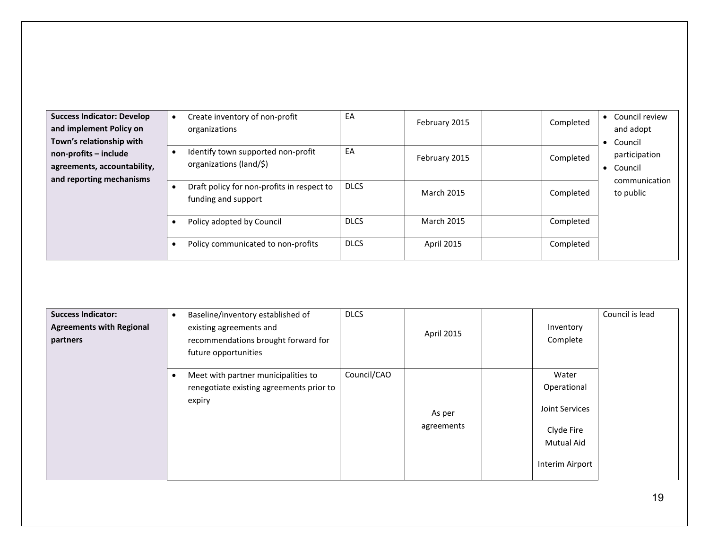| <b>Success Indicator: Develop</b><br>and implement Policy on<br>Town's relationship with | Create inventory of non-profit<br>organizations                   | EA          | February 2015     | Completed | Council review<br>and adopt<br>• Council               |
|------------------------------------------------------------------------------------------|-------------------------------------------------------------------|-------------|-------------------|-----------|--------------------------------------------------------|
| non-profits - include<br>agreements, accountability,<br>and reporting mechanisms         | Identify town supported non-profit<br>organizations (land/\$)     | EA          | February 2015     | Completed | participation<br>Council<br>$\bullet$<br>communication |
|                                                                                          | Draft policy for non-profits in respect to<br>funding and support | <b>DLCS</b> | <b>March 2015</b> | Completed | to public                                              |
|                                                                                          | Policy adopted by Council                                         | <b>DLCS</b> | <b>March 2015</b> | Completed |                                                        |
|                                                                                          | Policy communicated to non-profits                                | <b>DLCS</b> | <b>April 2015</b> | Completed |                                                        |

| <b>Success Indicator:</b><br><b>Agreements with Regional</b><br>partners | Baseline/inventory established of<br>existing agreements and<br>recommendations brought forward for<br>future opportunities | <b>DLCS</b> | April 2015           | Inventory<br>Complete                                                                 | Council is lead |
|--------------------------------------------------------------------------|-----------------------------------------------------------------------------------------------------------------------------|-------------|----------------------|---------------------------------------------------------------------------------------|-----------------|
|                                                                          | Meet with partner municipalities to<br>renegotiate existing agreements prior to<br>expiry                                   | Council/CAO | As per<br>agreements | Water<br>Operational<br>Joint Services<br>Clyde Fire<br>Mutual Aid<br>Interim Airport |                 |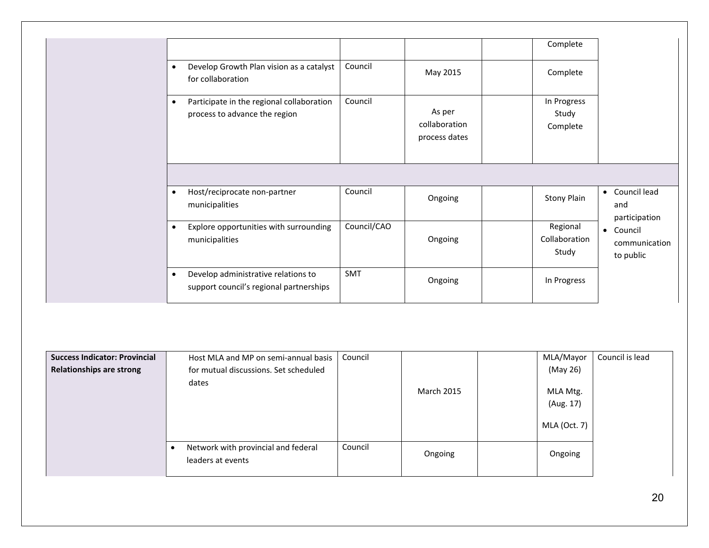|   |                                                                            |             |                                          | Complete                           |                                                          |
|---|----------------------------------------------------------------------------|-------------|------------------------------------------|------------------------------------|----------------------------------------------------------|
|   | Develop Growth Plan vision as a catalyst<br>for collaboration              | Council     | May 2015                                 | Complete                           |                                                          |
| ٠ | Participate in the regional collaboration<br>process to advance the region | Council     | As per<br>collaboration<br>process dates | In Progress<br>Study<br>Complete   |                                                          |
|   |                                                                            |             |                                          |                                    |                                                          |
|   |                                                                            |             |                                          |                                    |                                                          |
|   | Host/reciprocate non-partner<br>municipalities                             | Council     | Ongoing                                  | Stony Plain                        | • Council lead<br>and                                    |
| ٠ | Explore opportunities with surrounding<br>municipalities                   | Council/CAO | Ongoing                                  | Regional<br>Collaboration<br>Study | participation<br>• Council<br>communication<br>to public |

| <b>Success Indicator: Provincial</b> | Host MLA and MP on semi-annual basis                     | Council |                   | MLA/Mayor                             | Council is lead |
|--------------------------------------|----------------------------------------------------------|---------|-------------------|---------------------------------------|-----------------|
| <b>Relationships are strong</b>      | for mutual discussions. Set scheduled                    |         |                   | (May 26)                              |                 |
|                                      | dates                                                    |         | <b>March 2015</b> | MLA Mtg.<br>(Aug. 17)<br>MLA (Oct. 7) |                 |
|                                      | Network with provincial and federal<br>leaders at events | Council | Ongoing           | Ongoing                               |                 |

20